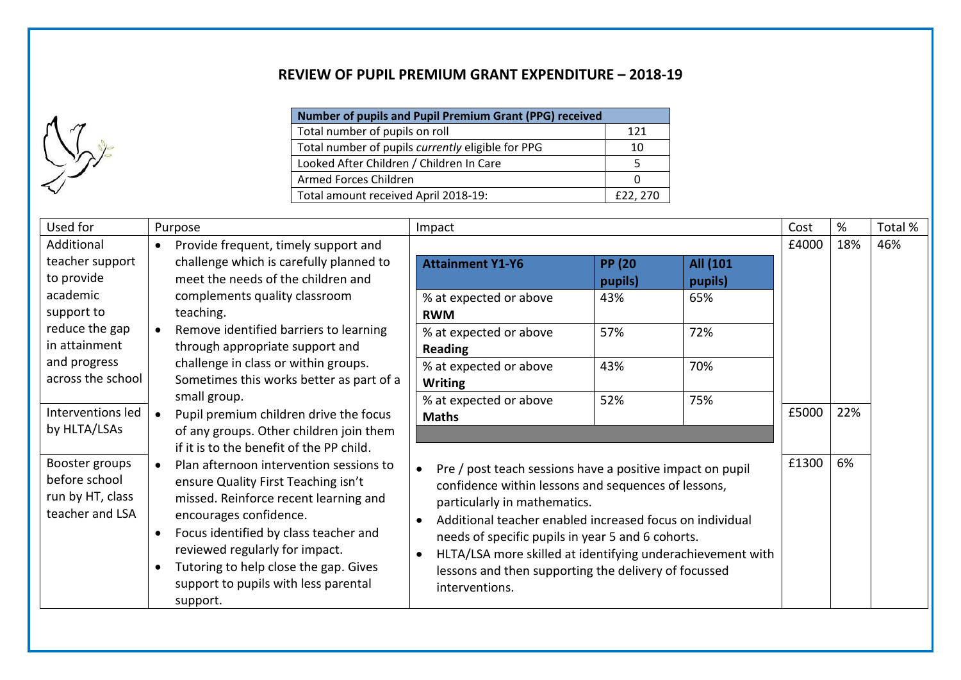## **REVIEW OF PUPIL PREMIUM GRANT EXPENDITURE – 2018-19**

 $\Lambda$ 7  $\bigcup_{\alpha}$ 

| Number of pupils and Pupil Premium Grant (PPG) received |          |  |
|---------------------------------------------------------|----------|--|
| Total number of pupils on roll                          | 121      |  |
| Total number of pupils currently eligible for PPG       | 10       |  |
| Looked After Children / Children In Care                |          |  |
| Armed Forces Children                                   |          |  |
| Total amount received April 2018-19:                    | £22, 270 |  |

| Used for                                                               | Purpose                                                                                                                                                                                                                                                                                                                                                                            | Impact                                                      |                                                                                                                                                                                                                                                                                                                                                         |                     | Cost  | %   | Total % |
|------------------------------------------------------------------------|------------------------------------------------------------------------------------------------------------------------------------------------------------------------------------------------------------------------------------------------------------------------------------------------------------------------------------------------------------------------------------|-------------------------------------------------------------|---------------------------------------------------------------------------------------------------------------------------------------------------------------------------------------------------------------------------------------------------------------------------------------------------------------------------------------------------------|---------------------|-------|-----|---------|
| Additional<br>teacher support<br>to provide                            | Provide frequent, timely support and<br>$\bullet$<br>challenge which is carefully planned to<br>meet the needs of the children and                                                                                                                                                                                                                                                 | <b>Attainment Y1-Y6</b>                                     | <b>PP (20)</b><br>pupils)                                                                                                                                                                                                                                                                                                                               | All (101<br>pupils) | £4000 | 18% | 46%     |
| academic<br>support to                                                 | complements quality classroom<br>teaching.                                                                                                                                                                                                                                                                                                                                         | % at expected or above<br><b>RWM</b>                        | 43%                                                                                                                                                                                                                                                                                                                                                     | 65%                 |       |     |         |
| reduce the gap<br>in attainment                                        | Remove identified barriers to learning<br>$\bullet$<br>through appropriate support and                                                                                                                                                                                                                                                                                             | % at expected or above<br>Reading                           | 57%                                                                                                                                                                                                                                                                                                                                                     | 72%                 |       |     |         |
| and progress<br>across the school                                      | challenge in class or within groups.<br>Sometimes this works better as part of a                                                                                                                                                                                                                                                                                                   | % at expected or above<br><b>Writing</b>                    | 43%                                                                                                                                                                                                                                                                                                                                                     | 70%                 |       |     |         |
| Interventions led<br>by HLTA/LSAs                                      | small group.<br>Pupil premium children drive the focus<br>of any groups. Other children join them                                                                                                                                                                                                                                                                                  | % at expected or above<br><b>Maths</b>                      | 52%                                                                                                                                                                                                                                                                                                                                                     | 75%                 | £5000 | 22% |         |
| Booster groups<br>before school<br>run by HT, class<br>teacher and LSA | if it is to the benefit of the PP child.<br>Plan afternoon intervention sessions to<br>$\bullet$<br>ensure Quality First Teaching isn't<br>missed. Reinforce recent learning and<br>encourages confidence.<br>Focus identified by class teacher and<br>reviewed regularly for impact.<br>Tutoring to help close the gap. Gives<br>support to pupils with less parental<br>support. | particularly in mathematics.<br>$\bullet$<br>interventions. | Pre / post teach sessions have a positive impact on pupil<br>confidence within lessons and sequences of lessons,<br>Additional teacher enabled increased focus on individual<br>needs of specific pupils in year 5 and 6 cohorts.<br>HLTA/LSA more skilled at identifying underachievement with<br>lessons and then supporting the delivery of focussed |                     | £1300 | 6%  |         |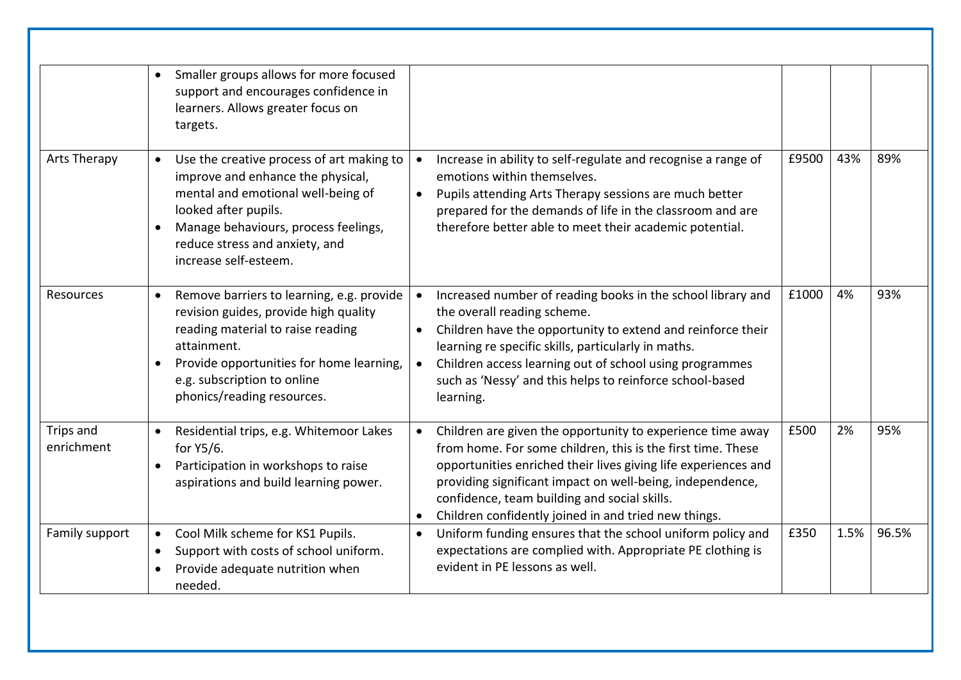|                         | Smaller groups allows for more focused<br>$\bullet$<br>support and encourages confidence in<br>learners. Allows greater focus on<br>targets.                                                                                                                              |                                                                                                                                                                                                                                                                                                                                                                                             |       |      |       |
|-------------------------|---------------------------------------------------------------------------------------------------------------------------------------------------------------------------------------------------------------------------------------------------------------------------|---------------------------------------------------------------------------------------------------------------------------------------------------------------------------------------------------------------------------------------------------------------------------------------------------------------------------------------------------------------------------------------------|-------|------|-------|
| Arts Therapy            | Use the creative process of art making to<br>$\bullet$<br>improve and enhance the physical,<br>mental and emotional well-being of<br>looked after pupils.<br>Manage behaviours, process feelings,<br>$\bullet$<br>reduce stress and anxiety, and<br>increase self-esteem. | Increase in ability to self-regulate and recognise a range of<br>emotions within themselves.<br>Pupils attending Arts Therapy sessions are much better<br>$\bullet$<br>prepared for the demands of life in the classroom and are<br>therefore better able to meet their academic potential.                                                                                                 | £9500 | 43%  | 89%   |
| Resources               | Remove barriers to learning, e.g. provide<br>$\bullet$<br>revision guides, provide high quality<br>reading material to raise reading<br>attainment.<br>Provide opportunities for home learning,<br>$\bullet$<br>e.g. subscription to online<br>phonics/reading resources. | Increased number of reading books in the school library and<br>$\bullet$<br>the overall reading scheme.<br>Children have the opportunity to extend and reinforce their<br>$\bullet$<br>learning re specific skills, particularly in maths.<br>Children access learning out of school using programmes<br>$\bullet$<br>such as 'Nessy' and this helps to reinforce school-based<br>learning. | £1000 | 4%   | 93%   |
| Trips and<br>enrichment | Residential trips, e.g. Whitemoor Lakes<br>$\bullet$<br>for Y5/6.<br>Participation in workshops to raise<br>$\bullet$<br>aspirations and build learning power.                                                                                                            | Children are given the opportunity to experience time away<br>$\bullet$<br>from home. For some children, this is the first time. These<br>opportunities enriched their lives giving life experiences and<br>providing significant impact on well-being, independence,<br>confidence, team building and social skills.<br>Children confidently joined in and tried new things.               | £500  | 2%   | 95%   |
| Family support          | Cool Milk scheme for KS1 Pupils.<br>$\bullet$<br>Support with costs of school uniform.<br>$\bullet$<br>Provide adequate nutrition when<br>needed.                                                                                                                         | Uniform funding ensures that the school uniform policy and<br>$\bullet$<br>expectations are complied with. Appropriate PE clothing is<br>evident in PE lessons as well.                                                                                                                                                                                                                     | £350  | 1.5% | 96.5% |